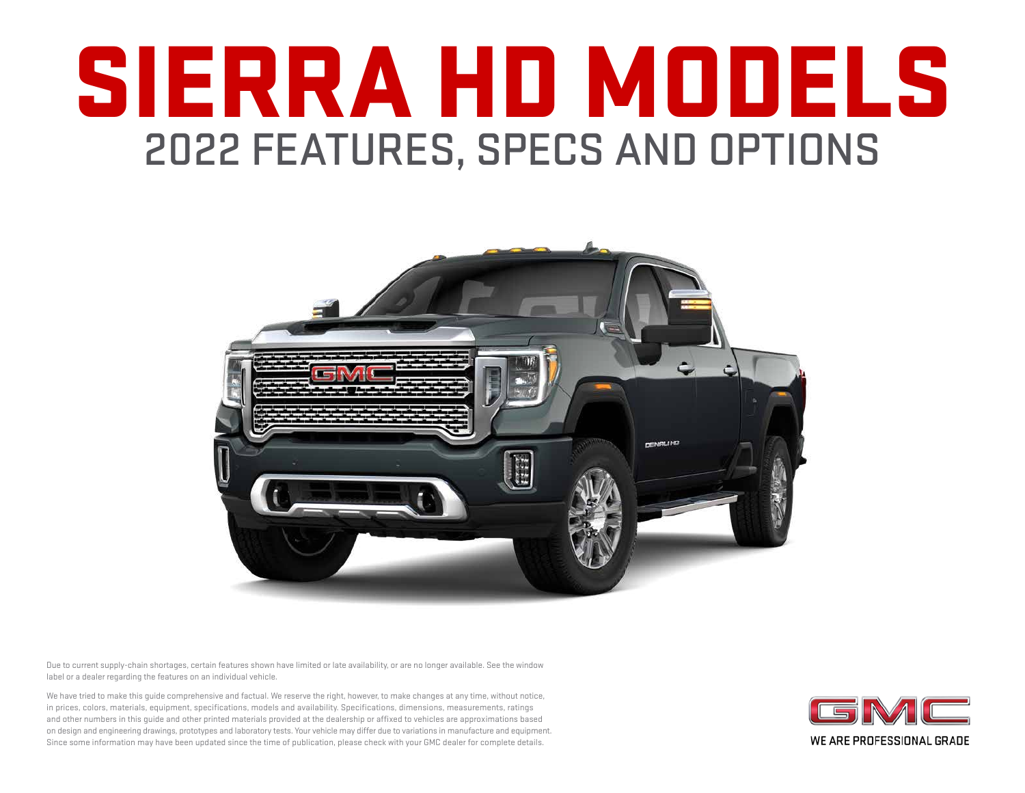# SIERRA HD MODELS 2022 FEATURES, SPECS AND OPTIONS



Due to current supply-chain shortages, certain features shown have limited or late availability, or are no longer available. See the window label or a dealer regarding the features on an individual vehicle.

We have tried to make this guide comprehensive and factual. We reserve the right, however, to make changes at any time, without notice, in prices, colors, materials, equipment, specifications, models and availability. Specifications, dimensions, measurements, ratings and other numbers in this guide and other printed materials provided at the dealership or affixed to vehicles are approximations based on design and engineering drawings, prototypes and laboratory tests. Your vehicle may differ due to variations in manufacture and equipment. Since some information may have been updated since the time of publication, please check with your GMC dealer for complete details.

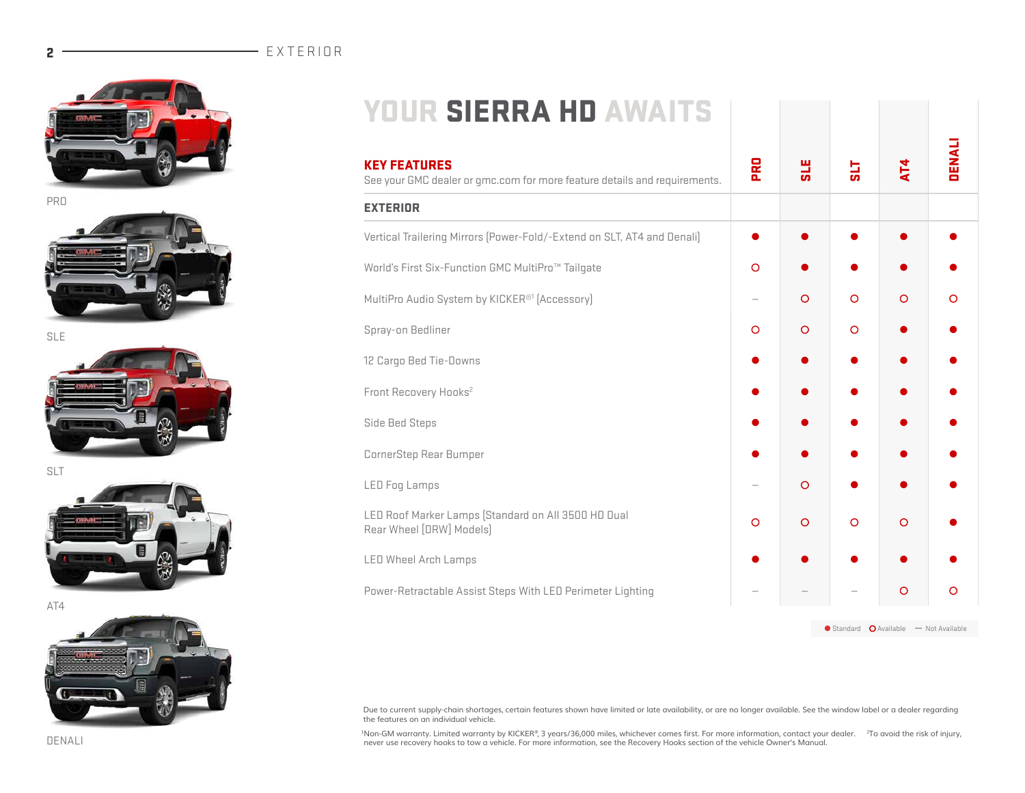# $2$   $\overline{2}$   $\overline{2}$   $\overline{2}$   $\overline{2}$   $\overline{2}$   $\overline{2}$   $\overline{2}$   $\overline{2}$   $\overline{2}$   $\overline{2}$   $\overline{2}$   $\overline{2}$   $\overline{2}$   $\overline{2}$   $\overline{2}$   $\overline{2}$   $\overline{2}$   $\overline{2}$   $\overline{2}$   $\overline{2}$   $\overline{2}$   $\overline{2}$   $\overline{2}$   $\overline{2}$







SLT



AT4



| <b>YOUR SIERRA HD AWAITS</b>                                                                     |            |            |          |         |               |
|--------------------------------------------------------------------------------------------------|------------|------------|----------|---------|---------------|
| <b>KEY FEATURES</b><br>See your GMC dealer or gmc.com for more feature details and requirements. | <b>PRO</b> | <b>SLE</b> | 딚        | AT4     | <b>DENALI</b> |
| <b>EXTERIOR</b>                                                                                  |            |            |          |         |               |
| Vertical Trailering Mirrors (Power-Fold/-Extend on SLT, AT4 and Denali)                          |            |            |          |         |               |
| World's First Six-Function GMC MultiPro <sup>™</sup> Tailgate                                    | $\circ$    |            |          |         |               |
| MultiPro Audio System by KICKER®1 (Accessory)                                                    |            | $\circ$    | $\Omega$ | $\circ$ | O             |
| Spray-on Bedliner                                                                                | $\Omega$   | $\circ$    | $\Omega$ |         |               |
| 12 Cargo Bed Tie-Downs                                                                           |            |            |          |         |               |
| Front Recovery Hooks <sup>2</sup>                                                                |            |            |          |         |               |
| Side Bed Steps                                                                                   |            |            |          |         |               |
| CornerStep Rear Bumper                                                                           |            |            |          |         |               |
| <b>LED Fog Lamps</b>                                                                             |            | $\circ$    |          |         |               |
| LED Roof Marker Lamps (Standard on All 3500 HD Dual<br>Rear Wheel [DRW] Models]                  | O          | $\circ$    | $\Omega$ | $\circ$ |               |

LED Wheel Arch Lamps ● ● ● ● ●

Power-Retractable Assist Steps With LED Perimeter Lighting  $\begin{vmatrix} - & \end{vmatrix}$  -  $\begin{vmatrix} - & \end{vmatrix}$  -  $\begin{vmatrix} - & \end{vmatrix}$  0

 $\bullet$  Standard  $\bullet$  Available — Not Available

Due to current supply-chain shortages, certain features shown have limited or late availability, or are no longer available. See the window label or a dealer regarding<br>the features on an individual vehicle.

<sup>1</sup>Non-GM warranty. Limited warranty by KICKER®, 3 years/36,000 miles, whichever comes first. For more information, contact your dealer. <sup>2</sup>To avoid the risk of injury, never use recovery hooks to tow a vehicle. For more information, see the Recovery Hooks section of the vehicle Owner's Manual.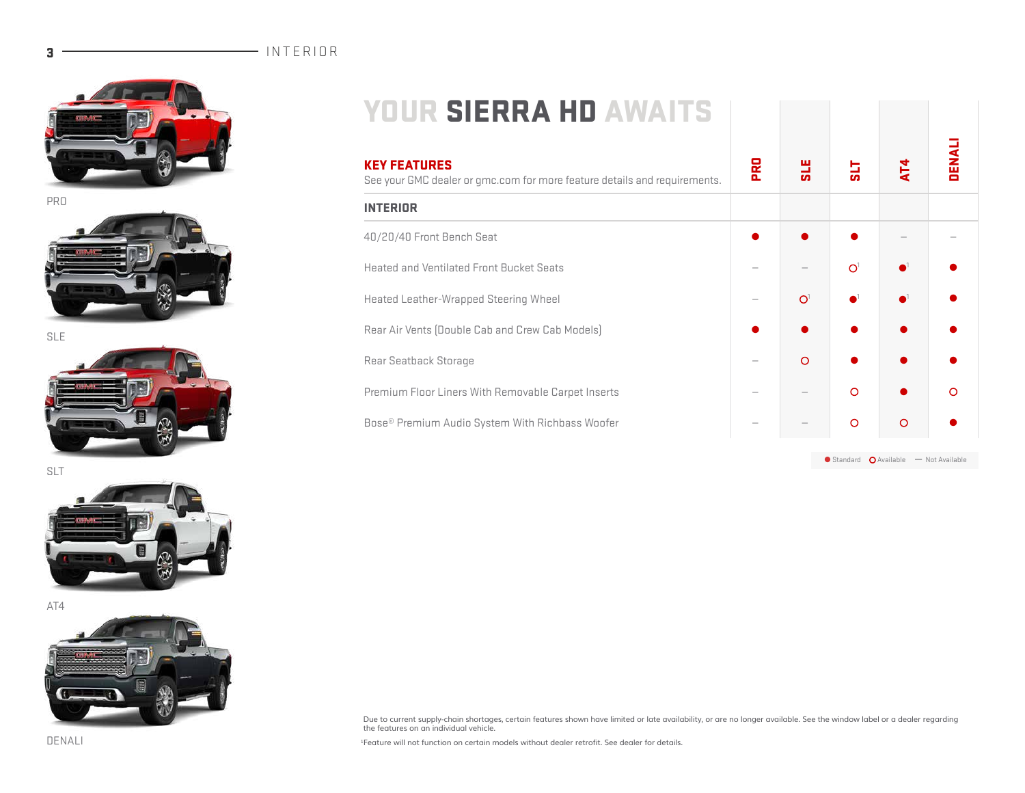# 3 INTERIOR







SLT



AT4



| <b>YOUR SIERRA HD AWAITS</b> |  |  |  |
|------------------------------|--|--|--|
|                              |  |  |  |

| <b>KEY FEATURES</b><br>See your GMC dealer or gmc.com for more feature details and requirements. | PRO | <b>SLE</b>     | 귾        | AT4     | <b>DENAI</b> |  |
|--------------------------------------------------------------------------------------------------|-----|----------------|----------|---------|--------------|--|
| <b>INTERIOR</b>                                                                                  |     |                |          |         |              |  |
| 40/20/40 Front Bench Seat                                                                        |     |                |          |         |              |  |
| <b>Heated and Ventilated Front Bucket Seats</b>                                                  |     |                | $\Omega$ |         |              |  |
| Heated Leather-Wrapped Steering Wheel                                                            |     | O <sup>1</sup> |          |         |              |  |
| Rear Air Vents (Double Cab and Crew Cab Models)                                                  |     |                |          |         |              |  |
| Rear Seatback Storage                                                                            |     | $\circ$        |          |         |              |  |
| Premium Floor Liners With Removable Carpet Inserts                                               |     |                | $\circ$  |         | $\circ$      |  |
| Bose® Premium Audio System With Richbass Woofer                                                  |     |                | $\circ$  | $\circ$ |              |  |

 $\bullet$  Standard  $\bullet$  Available — Not Available

Due to current supply-chain shortages, certain features shown have limited or late availability, or are no longer available. See the window label or a dealer regarding<br>the features on an individual vehicle.

1Feature will not function on certain models without dealer retrofit. See dealer for details.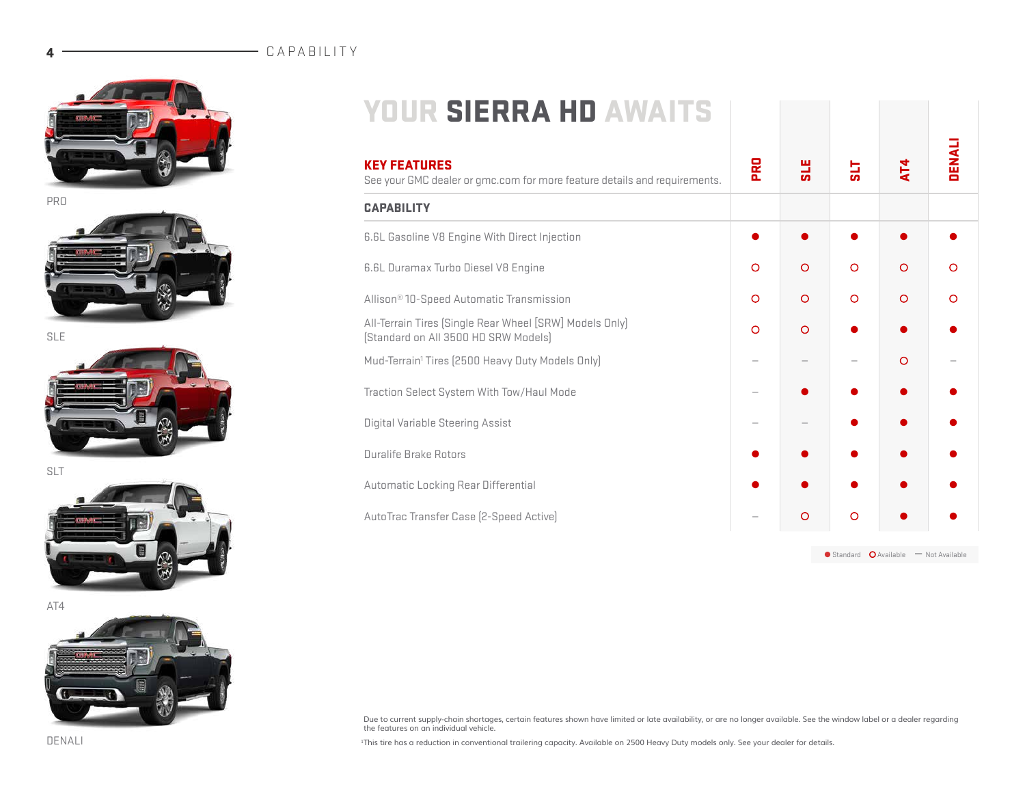# 4 CAPABILITY







SLT



AT4



| <b>YOUR SIERRA HD AWAITS</b>                                                                     |            |            |          |          |         |
|--------------------------------------------------------------------------------------------------|------------|------------|----------|----------|---------|
| <b>KEY FEATURES</b><br>See your GMC dealer or qmc.com for more feature details and requirements. | <b>PRO</b> | <b>HIS</b> | 귾        | AT4      | DENALI  |
| <b>CAPABILITY</b>                                                                                |            |            |          |          |         |
| 6.6L Gasoline V8 Engine With Direct Injection                                                    |            |            |          |          |         |
| <b>6.6L Duramax Turbo Diesel V8 Engine</b>                                                       | $\circ$    | $\circ$    | $\Omega$ | $\circ$  | $\circ$ |
| Allison <sup>®</sup> 10-Speed Automatic Transmission                                             | $\circ$    | $\circ$    | $\circ$  | $\circ$  | $\circ$ |
| All-Terrain Tires (Single Rear Wheel [SRW] Models Only]<br>[Standard on All 3500 HD SRW Models]  | $\Omega$   | $\Omega$   |          |          |         |
| Mud-Terrain <sup>1</sup> Tires (2500 Heavy Duty Models Only)                                     |            |            |          | $\Omega$ |         |
| Traction Select System With Tow/Haul Mode                                                        |            |            |          |          |         |
| Digital Variable Steering Assist                                                                 |            |            |          |          |         |
| <b>Duralife Brake Rotors</b>                                                                     |            |            |          |          |         |
| Automatic Locking Rear Differential                                                              |            |            |          |          |         |

AutoTrac Transfer Case (2-Speed Active) — ● ● ● ●

 $\bullet$  Standard  $\bullet$  Available  $\bullet$  Not Available

Due to current supply-chain shortages, certain features shown have limited or late availability, or are no longer available. See the window label or a dealer regarding<br>the features on an individual vehicle.

1This tire has a reduction in conventional trailering capacity. Available on 2500 Heavy Duty models only. See your dealer for details.

DENALI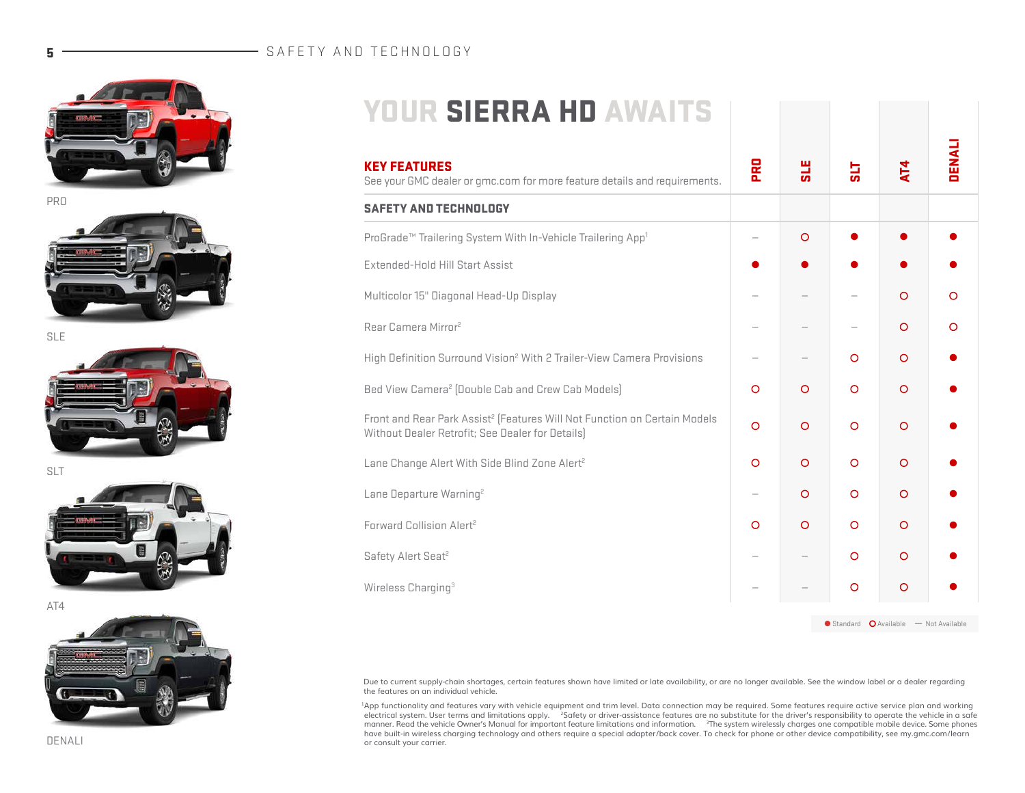# 5 - SAFETY AND TECHNOLOGY



**PRO** 



SLT



AT4



| <b>YOUR SIERRA HD AWAITS</b>                                                                                                              |            |            |         |         |               |
|-------------------------------------------------------------------------------------------------------------------------------------------|------------|------------|---------|---------|---------------|
| <b>KEY FEATURES</b><br>See your GMC dealer or gmc.com for more feature details and requirements.                                          | <b>PRO</b> | <b>SLE</b> | 딣       | AT4     | <b>DENALI</b> |
| <b>SAFETY AND TECHNOLOGY</b>                                                                                                              |            |            |         |         |               |
| ProGrade <sup>™</sup> Trailering System With In-Vehicle Trailering App <sup>1</sup>                                                       |            | $\circ$    |         |         |               |
| Extended-Hold Hill Start Assist                                                                                                           |            |            |         |         |               |
| Multicolor 15" Diagonal Head-Up Display                                                                                                   |            |            |         | $\circ$ | O             |
| Rear Camera Mirror <sup>2</sup>                                                                                                           |            |            |         | $\circ$ | O             |
| High Definition Surround Vision <sup>2</sup> With 2 Trailer-View Camera Provisions                                                        |            |            | $\circ$ | $\circ$ |               |
| Bed View Camera <sup>2</sup> (Double Cab and Crew Cab Models)                                                                             | $\circ$    | $\circ$    | $\circ$ | $\circ$ |               |
| Front and Rear Park Assist <sup>2</sup> (Features Will Not Function on Certain Models<br>Without Dealer Retrofit; See Dealer for Details) | $\circ$    | $\circ$    | $\circ$ | $\circ$ |               |
| Lane Change Alert With Side Blind Zone Alert <sup>2</sup>                                                                                 | $\circ$    | $\circ$    | $\circ$ | $\circ$ |               |
| Lane Departure Warning <sup>2</sup>                                                                                                       |            | $\circ$    | $\circ$ | $\circ$ |               |
| Forward Collision Alert <sup>2</sup>                                                                                                      | $\circ$    | $\circ$    | $\circ$ | $\circ$ |               |
| Safety Alert Seat <sup>2</sup>                                                                                                            |            |            | $\circ$ | $\circ$ |               |

Wireless Charging<sup>3</sup>  $0$   $0$ 

 $\bullet$  Standard  $\bullet$  Available — Not Available

Due to current supply-chain shortages, certain features shown have limited or late availability, or are no longer available. See the window label or a dealer regarding the features on an individual vehicle.

<sup>1</sup>App functionality and features vary with vehicle equipment and trim level. Data connection may be required. Some features require active service plan and working<br>electrical system. User terms and limitations apply. <sup>2</sup>S manner. Read the vehicle Owner's Manual for important feature limitations and information. If he system wirelessly charges one compatible mobile device. Some phones<br>have built-in wireless charging technology and others req or consult your carrier.

DENALI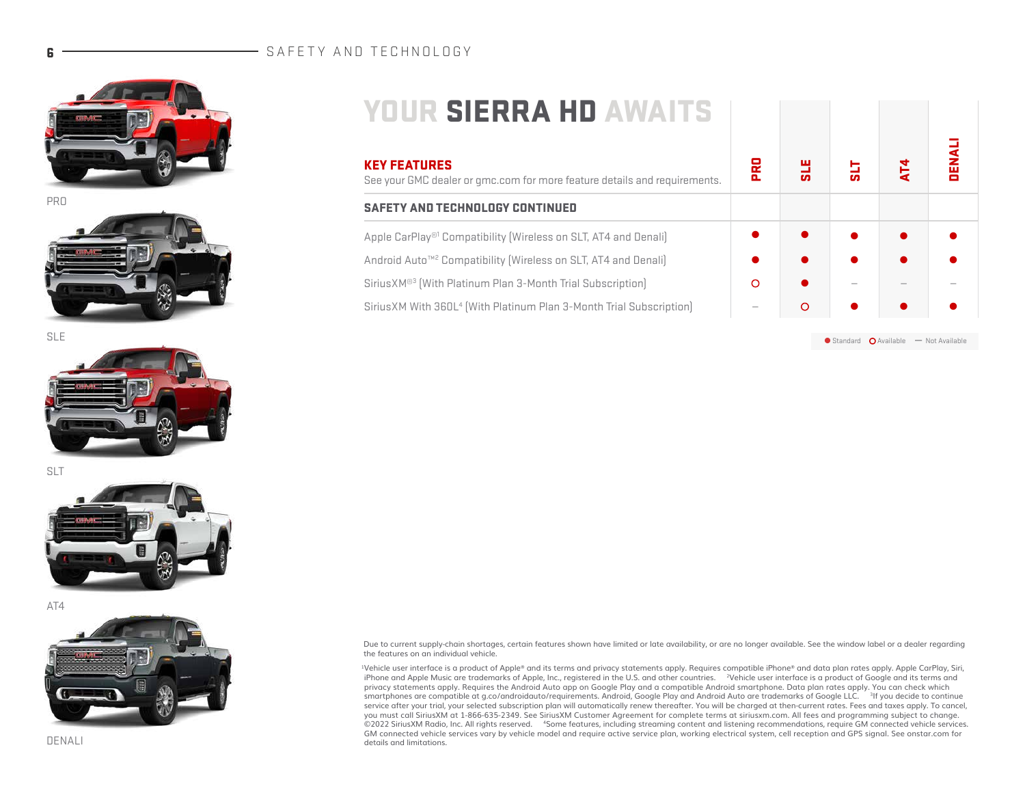# 6 - SAFETY AND TECHNOLOGY



**PRO** 



SLE



SLT



AT4



|--|

| <b>KEY FEATURES</b><br>See your GMC dealer or gmc.com for more feature details and requirements. | 몵 |   | o. | Ě |  |
|--------------------------------------------------------------------------------------------------|---|---|----|---|--|
| SAFETY AND TECHNOLOGY CONTINUED                                                                  |   |   |    |   |  |
| Apple CarPlay® <sup>1</sup> Compatibility (Wireless on SLT, AT4 and Denali)                      |   |   |    |   |  |
| Android Auto™ <sup>2</sup> Compatibility (Wireless on SLT, AT4 and Denali)                       |   |   |    |   |  |
| Sirius XM® <sup>3</sup> (With Platinum Plan 3-Month Trial Subscription)                          | ∩ |   |    |   |  |
| SiriusXM With 360L <sup>4</sup> (With Platinum Plan 3-Month Trial Subscription)                  |   | O |    |   |  |

 $\bullet$  Standard  $\bullet$  Available — Not Available

DENALI

Due to current supply-chain shortages, certain features shown have limited or late availability, or are no longer available. See the window label or a dealer regarding the features on an individual vehicle.

1Vehicle user interface is a product of Apple® and its terms and privacy statements apply. Requires compatible iPhone® and data plan rates apply. Apple CarPlay, Siri, iPhone and Apple Music are trademarks of Apple, Inc., registered in the U.S. and other countries. <sup>2</sup>Vehicle user interface is a product of Google and its terms and privacy statements apply. Requires the Android Auto app on Google Play and a compatible Android smartphone. Data plan rates apply. You can check which smartphones are compatible at g.co/androidauto/requirements. Android, Google Play and Android Auto are trademarks of Google LLC. 3If you decide to continue service after your trial, your selected subscription plan will automatically renew thereafter. You will be charged at then-current rates. Fees and taxes apply. To cancel,<br>you must call SiriusXM at 1-866-635-2349. See Siriu ©2022 SiriusXM Radio, Inc. All rights reserved. 4Some features, including streaming content and listening recommendations, require GM connected vehicle services. GM connected vehicle services vary by vehicle model and require active service plan, working electrical system, cell reception and GPS signal. See onstar.com for details and limitations.

DENALI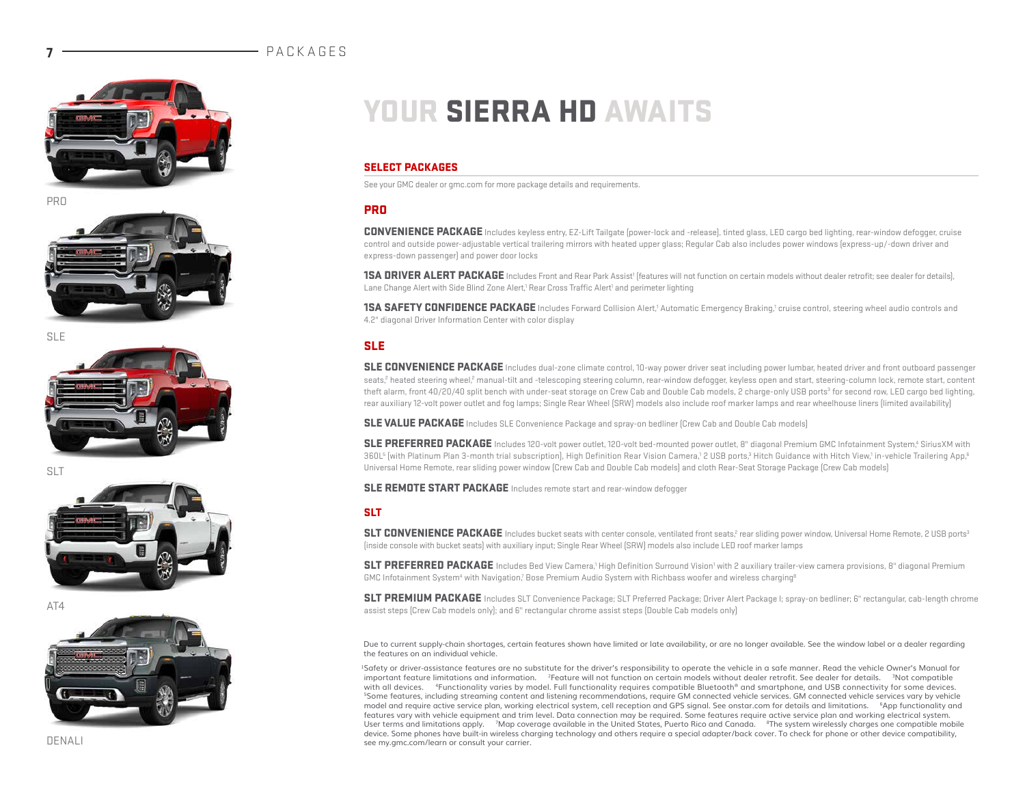### **PACKAGES**









SLT



 $\triangle T\Delta$ 



# YOUR SIERRA HD AWAITS

#### SELECT PACKAGES

See your GMC dealer or gmc.com for more package details and requirements.

### PRO

CONVENIENCE PACKAGE Includes keyless entry, EZ-Lift Tailgate (power-lock and -release), tinted glass, LED cargo bed lighting, rear-window defogger, cruise control and outside power-adjustable vertical trailering mirrors with heated upper glass; Regular Cab also includes power windows (express-up/-down driver and express-down passenger) and power door locks

1SA DRIVER ALERT PACKAGE Includes Front and Rear Park Assist<sup>1</sup> (features will not function on certain models without dealer retrofit; see dealer for details), Lane Change Alert with Side Blind Zone Alert,<sup>1</sup> Rear Cross Traffic Alert<sup>1</sup> and perimeter lighting

**1SA SAFETY CONFIDENCE PACKAGE** Includes Forward Collision Alert,<sup>1</sup> Automatic Emergency Braking,1 cruise control, steering wheel audio controls and 4.2" diagonal Driver Information Center with color display

### SLE

SLE CONVENIENCE PACKAGE Includes dual-zone climate control, 10-way power driver seat including power lumbar, heated driver and front outboard passenger seats,<sup>2</sup> heated steering wheel,<sup>2</sup> manual-tilt and -telescoping steering column, rear-window defogger, keyless open and start, steering-column lock, remote start, content theft alarm, front 40/20/40 split bench with under-seat storage on Crew Cab and Double Cab models, 2 charge-only USB ports<sup>3</sup> for second row, LED cargo bed lighting, rear auxiliary 12-volt power outlet and fog lamps; Single Rear Wheel (SRW) models also include roof marker lamps and rear wheelhouse liners (limited availability)

SLE VALUE PACKAGE Includes SLE Convenience Package and spray-on bedliner (Crew Cab and Double Cab models)

SLE PREFERRED PACKAGE Includes 120-volt power outlet, 120-volt bed-mounted power outlet, 8" diagonal Premium GMC Infotainment System,<sup>4</sup> SiriusXM with 360L<sup>s</sup> (with Platinum Plan 3-month trial subscription), High Definition Rear Vision Camera,12 USB ports,<sup>3</sup> Hitch Guidance with Hitch View,<sup>1</sup> in-vehicle Trailering App,<sup>6</sup> Universal Home Remote, rear sliding power window (Crew Cab and Double Cab models) and cloth Rear-Seat Storage Package (Crew Cab models)

SLE REMOTE START PACKAGE Includes remote start and rear-window defogger

### SLT

SLT CONVENIENCE PACKAGE Includes bucket seats with center console, ventilated front seats,<sup>2</sup> rear sliding power window, Universal Home Remote, 2 USB ports<sup>3</sup> (inside console with bucket seats) with auxiliary input; Single Rear Wheel (SRW) models also include LED roof marker lamps

SLT PREFERRED PACKAGE Includes Bed View Camera,<sup>1</sup> High Definition Surround Vision<sup>1</sup> with 2 auxiliary trailer-view camera provisions, 8" diagonal Premium GMC Infotainment System<sup>4</sup> with Navigation,<sup>7</sup> Bose Premium Audio System with Richbass woofer and wireless charging<sup>8</sup>

SLT PREMIUM PACKAGE Includes SLT Convenience Package; SLT Preferred Package; Driver Alert Package I; spray-on bedliner; 6" rectangular, cab-length chrome assist steps (Crew Cab models only); and 6" rectangular chrome assist steps (Double Cab models only)

Due to current supply-chain shortages, certain features shown have limited or late availability, or are no longer available. See the window label or a dealer regarding the features on an individual vehicle.

1Safety or driver-assistance features are no substitute for the driver's responsibility to operate the vehicle in a safe manner. Read the vehicle Owner's Manual for important feature limitations and information. <sup>2</sup>Feature will not function on certain models without dealer retrofit. See dealer for details. <sup>3</sup>Not compatible<br>with all devices. <sup>4</sup>Functionality varies by model. Full func <sup>5</sup>Some features, including streaming content and listening recommendations, require GM connected vehicle services. GM connected vehicle services vary by vehicle model and require active service plan, working electrical system, cell reception and GPS signal. See onstar.com for details and limitations. 6App functionality and features vary with vehicle equipment and trim level. Data connection may be required. Some features require active service plan and working electrical system. User terms and limitations apply. <sup>7</sup>Map coverage available in the United States, Puerto Rico and Canada. <sup>8</sup>The system wirelessly charges one compatible mobile device. Some phones have built-in wireless charging technology and others require a special adapter/back cover. To check for phone or other device compatibility, see my.gmc.com/learn or consult your carrier.

DENALI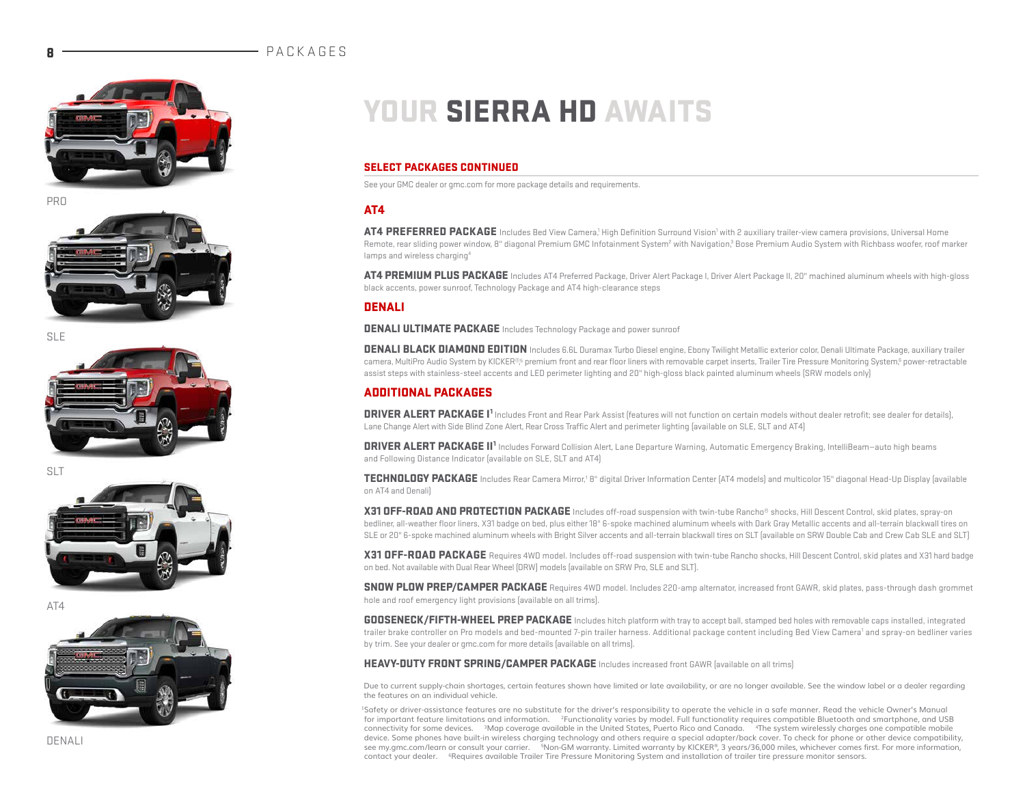### **PACKAGES**









SLT



 $\triangle T\Delta$ 



# YOUR SIERRA HD AWAITS

### SELECT PACKAGES CONTINUED

See your GMC dealer or gmc.com for more package details and requirements.

### AT4

AT4 PREFERRED PACKAGE Includes Bed View Camera,<sup>1</sup> High Definition Surround Vision<sup>1</sup> with 2 auxiliary trailer-view camera provisions, Universal Home Remote, rear sliding power window, 8" diagonal Premium GMC Infotainment System<sup>2</sup> with Navigation,<sup>3</sup> Bose Premium Audio System with Richbass woofer, roof marker lamps and wireless charging<sup>4</sup>

AT4 PREMIUM PLUS PACKAGE Includes AT4 Preferred Package, Driver Alert Package I, Driver Alert Package II, 20" machined aluminum wheels with high-gloss black accents, power sunroof, Technology Package and AT4 high-clearance steps

#### **DENALI**

**DENALI ULTIMATE PACKAGE** Includes Technology Package and power sunroof

DENALI BLACK DIAMOND EDITION Includes 6.6L Duramax Turbo Diesel engine, Ebony Twilight Metallic exterior color, Denali Ultimate Package, auxiliary trailer camera, MultiPro Audio System by KICKER®, premium front and rear floor liners with removable carpet inserts, Trailer Tire Pressure Monitoring System,<sup>e</sup> power-retractable assist steps with stainless-steel accents and LED perimeter lighting and 20" high-gloss black painted aluminum wheels (SRW models only)

### ADDITIONAL PACKAGES

DRIVER ALERT PACKAGE I1 Includes Front and Rear Park Assist (features will not function on certain models without dealer retrofit; see dealer for details), Lane Change Alert with Side Blind Zone Alert, Rear Cross Traffic Alert and perimeter lighting (available on SLE, SLT and AT4)

DRIVER ALERT PACKAGE II1 Includes Forward Collision Alert, Lane Departure Warning, Automatic Emergency Braking, IntelliBeam—auto high beams and Following Distance Indicator (available on SLE, SLT and AT4)

TECHNOLOGY PACKAGE Includes Rear Camera Mirror,<sup>1</sup> 8" digital Driver Information Center (AT4 models) and multicolor 15" diagonal Head-Up Display (available on AT4 and Denali)

X31 OFF-ROAD AND PROTECTION PACKAGE Includes off-road suspension with twin-tube Rancho® shocks, Hill Descent Control, skid plates, spray-on bedliner, all-weather floor liners, X31 badge on bed, plus either 18" 6-spoke machined aluminum wheels with Dark Gray Metallic accents and all-terrain blackwall tires on SLE or 20" 6-spoke machined aluminum wheels with Bright Silver accents and all-terrain blackwall tires on SLT (available on SRW Double Cab and Crew Cab SLE and SLT)

X31 OFF-ROAD PACKAGE Requires 4WD model. Includes off-road suspension with twin-tube Rancho shocks, Hill Descent Control, skid plates and X31 hard badge on bed. Not available with Dual Rear Wheel (DRW) models (available on SRW Pro, SLE and SLT).

SNOW PLOW PREP/CAMPER PACKAGE Requires 4WD model. Includes 220-amp alternator, increased front GAWR, skid plates, pass-through dash grommet hole and roof emergency light provisions (available on all trims).

**GOOSENECK/FIFTH-WHEEL PREP PACKAGE** Includes hitch platform with tray to accept ball, stamped bed holes with removable caps installed, integrated trailer brake controller on Pro models and bed-mounted 7-pin trailer harness. Additional package content including Bed View Camera<sup>1</sup> and spray-on bedliner varies by trim. See your dealer or gmc.com for more details (available on all trims).

#### **HEAVY-DUTY FRONT SPRING/CAMPER PACKAGE** Includes increased front GAWR (available on all trims)

Due to current supply-chain shortages, certain features shown have limited or late availability, or are no longer available. See the window label or a dealer regarding the features on an individual vehicle.

1Safety or driver-assistance features are no substitute for the driver's responsibility to operate the vehicle in a safe manner. Read the vehicle Owner's Manual for important feature limitations and information. 2Functionality varies by model. Full functionality requires compatible Bluetooth and smartphone, and USB connectivity for some devices. <sup>3</sup>Map coverage available in the United States, Puerto Rico and Canada. <sup>4</sup>The system wirelessly charges one compatible mobile device. Some phones have built-in wireless charging technology and others require a special adapter/back cover. To check for phone or other device compatibility, see my.gmc.com/learn or consult your carrier. <sup>5</sup>Non-GM warranty. Limited warranty by KICKER®, 3 years/36,000 miles, whichever comes first. For more information, contact your dealer. <sup>6</sup>Requires available Trailer Tire Pressure Monitoring System and installation of trailer tire pressure monitor sensors.

DENALI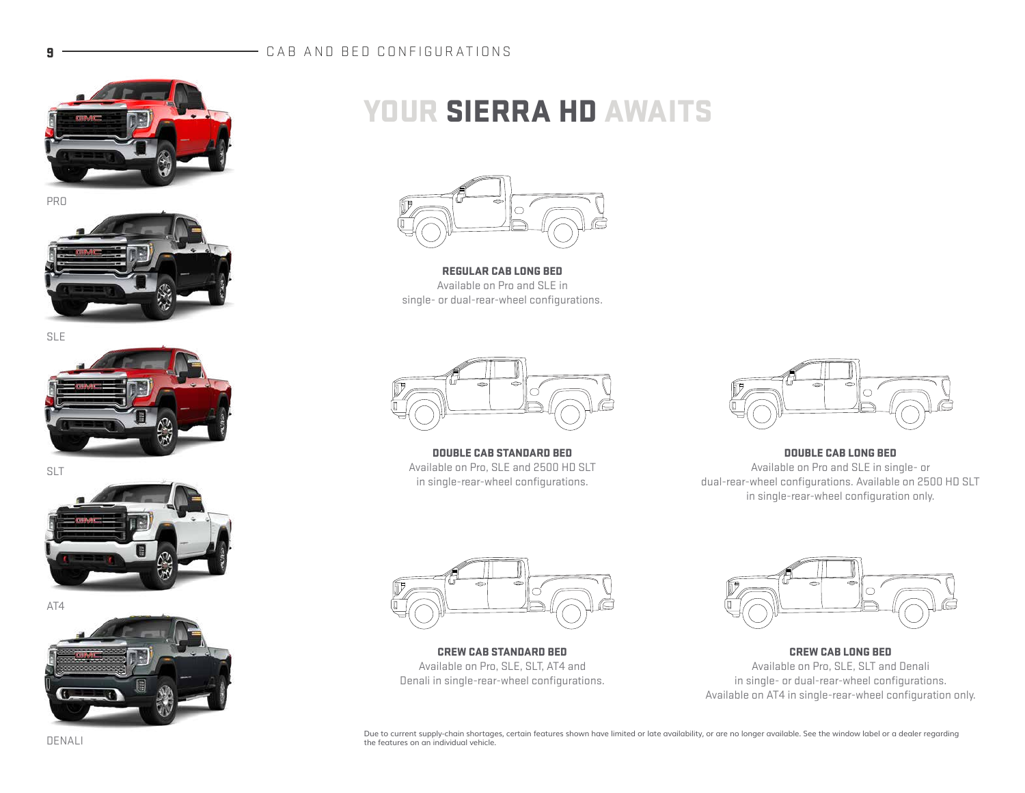## 9 **CAB AND BED CONFIGURATIONS**





SLE



SLT



AT4



# YOUR SIERRA HD AWAITS



REGULAR CAB LONG BED Available on Pro and SLE in single- or dual-rear-wheel configurations.



DOUBLE CAB STANDARD BED Available on Pro, SLE and 2500 HD SLT in single-rear-wheel configurations.



DOUBLE CAB LONG BED Available on Pro and SLE in single- or dual-rear-wheel configurations. Available on 2500 HD SLT in single-rear-wheel configuration only.



CREW CAB STANDARD BED Available on Pro, SLE, SLT, AT4 and Denali in single-rear-wheel configurations.



CREW CAB LONG BED Available on Pro, SLE, SLT and Denali in single- or dual-rear-wheel configurations. Available on AT4 in single-rear-wheel configuration only.

Due to current supply-chain shortages, certain features shown have limited or late availability, or are no longer available. See the window label or a dealer regarding the features on an individual vehicle.

DENALI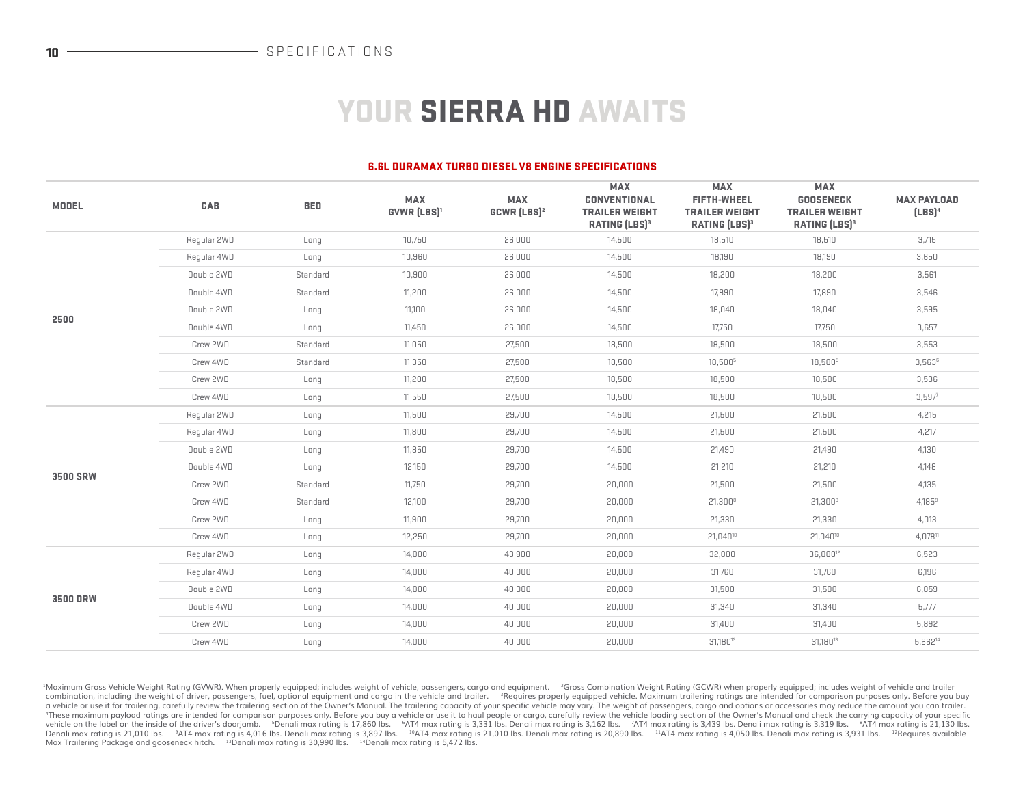# YOUR SIERRA HD AWAITS

#### 6.6L DURAMAX TURBO DIESEL V8 ENGINE SPECIFICATIONS

| <b>MODEL</b>    | CAB         | <b>BED</b> | <b>MAX</b><br><b>GVWR (LBS)<sup>1</sup></b> | <b>MAX</b><br><b>GCWR (LBS)<sup>2</sup></b> | <b>MAX</b><br><b>CONVENTIONAL</b><br><b>TRAILER WEIGHT</b><br><b>RATING (LBS)3</b> | <b>MAX</b><br><b>FIFTH-WHEEL</b><br><b>TRAILER WEIGHT</b><br><b>RATING [LBS]3</b> | <b>MAX</b><br><b>GOOSENECK</b><br><b>TRAILER WEIGHT</b><br><b>RATING [LBS]3</b> | <b>MAX PAYLOAD</b><br>$[LES]^4$ |
|-----------------|-------------|------------|---------------------------------------------|---------------------------------------------|------------------------------------------------------------------------------------|-----------------------------------------------------------------------------------|---------------------------------------------------------------------------------|---------------------------------|
|                 | Regular 2WD | Long       | 10,750                                      | 26,000                                      | 14,500                                                                             | 18,510                                                                            | 18,510                                                                          | 3,715                           |
|                 | Regular 4WD | Long       | 10,960                                      | 26,000                                      | 14,500                                                                             | 18,190                                                                            | 18,190                                                                          | 3,650                           |
|                 | Double 2WD  | Standard   | 10,900                                      | 26,000                                      | 14,500                                                                             | 18,200                                                                            | 18,200                                                                          | 3,561                           |
|                 | Double 4WD  | Standard   | 11,200                                      | 26,000                                      | 14,500                                                                             | 17,890                                                                            | 17,890                                                                          | 3,546                           |
| 2500            | Double 2WD  | Long       | 11,100                                      | 26,000                                      | 14,500                                                                             | 18,040                                                                            | 18,040                                                                          | 3,595                           |
|                 | Double 4WD  | Long       | 11,450                                      | 26,000                                      | 14,500                                                                             | 17,750                                                                            | 17,750                                                                          | 3,657                           |
|                 | Crew 2WD    | Standard   | 11,050                                      | 27,500                                      | 18,500                                                                             | 18,500                                                                            | 18,500                                                                          | 3,553                           |
|                 | Crew 4WD    | Standard   | 11,350                                      | 27,500                                      | 18,500                                                                             | 18,5005                                                                           | 18,5005                                                                         | 3,5636                          |
|                 | Crew 2WD    | Long       | 11,200                                      | 27,500                                      | 18,500                                                                             | 18,500                                                                            | 18,500                                                                          | 3,536                           |
|                 | Crew 4WD    | Long       | 11,550                                      | 27,500                                      | 18,500                                                                             | 18,500                                                                            | 18,500                                                                          | 3,597 <sup>7</sup>              |
|                 | Regular 2WD | Long       | 11,500                                      | 29,700                                      | 14,500                                                                             | 21,500                                                                            | 21,500                                                                          | 4,215                           |
|                 | Regular 4WD | Long       | 11,800                                      | 29,700                                      | 14,500                                                                             | 21,500                                                                            | 21,500                                                                          | 4,217                           |
|                 | Double 2WD  | Long       | 11,850                                      | 29,700                                      | 14,500                                                                             | 21,490                                                                            | 21,490                                                                          | 4,130                           |
|                 | Double 4WD  | Long       | 12,150                                      | 29,700                                      | 14,500                                                                             | 21,210                                                                            | 21,210                                                                          | 4.148                           |
| <b>3500 SRW</b> | Crew 2WD    | Standard   | 11,750                                      | 29,700                                      | 20,000                                                                             | 21,500                                                                            | 21,500                                                                          | 4,135                           |
|                 | Crew 4WD    | Standard   | 12,100                                      | 29,700                                      | 20,000                                                                             | $21,300^8$                                                                        | $21,300^8$                                                                      | 4.185 <sup>9</sup>              |
|                 | Crew 2WD    | Long       | 11,900                                      | 29.700                                      | 20,000                                                                             | 21,330                                                                            | 21,330                                                                          | 4,013                           |
|                 | Crew 4WD    | Long       | 12,250                                      | 29,700                                      | 20,000                                                                             | 21.04010                                                                          | 21.04010                                                                        | 4.07811                         |
|                 | Regular 2WD | Long       | 14,000                                      | 43,900                                      | 20,000                                                                             | 32,000                                                                            | 36,000 <sup>12</sup>                                                            | 6,523                           |
|                 | Regular 4WD | Long       | 14,000                                      | 40,000                                      | 20,000                                                                             | 31,760                                                                            | 31,760                                                                          | 6,196                           |
| <b>3500 DRW</b> | Double 2WD  | Long       | 14,000                                      | 40,000                                      | 20,000                                                                             | 31,500                                                                            | 31,500                                                                          | 6,059                           |
|                 | Double 4WD  | Long       | 14,000                                      | 40,000                                      | 20,000                                                                             | 31,340                                                                            | 31,340                                                                          | 5,777                           |
|                 | Crew 2WD    | Long       | 14,000                                      | 40,000                                      | 20,000                                                                             | 31,400                                                                            | 31,400                                                                          | 5,892                           |
|                 | Crew 4WD    | Long       | 14,000                                      | 40,000                                      | 20,000                                                                             | 31,18013                                                                          | 31,18013                                                                        | 5,662 <sup>14</sup>             |

<sup>1</sup>Maximum Gross Vehicle Weight Rating (GVWR). When properly equipped; includes weight of vehicle, passengers, cargo and equipment. <sup>2</sup>Gross Combination Weight Rating (GCWR) when properly equipped; includes weight of vehic combination, including the weight of driver, passengers, fuel, optional equipment and cargo in the vehicle and trailer. "Requires properly equipped vehicle. Maximum trailering ratings are intended for comparison purposes o a vehicle or use it for trailering, carefully review the trailering section of the Owner's Manual. The trailering capacity of your specific vehicle may vary. The weight of passengers, cargo and options or accessories may r vehicle on the label on the inside of the driver's doorjamb. <sup>5</sup>Denali max rating is 17,860 lbs. <sup>6</sup>AT4 max rating is 3,331 lbs. Denali max rating is 3,31 lbs. <sup>7</sup>AT4 max rating is 3,319 lbs. Max Trailering Package and gooseneck hitch. <sup>13</sup>Denali max rating is 30,990 lbs. <sup>14</sup>Denali max rating is 5,472 lbs.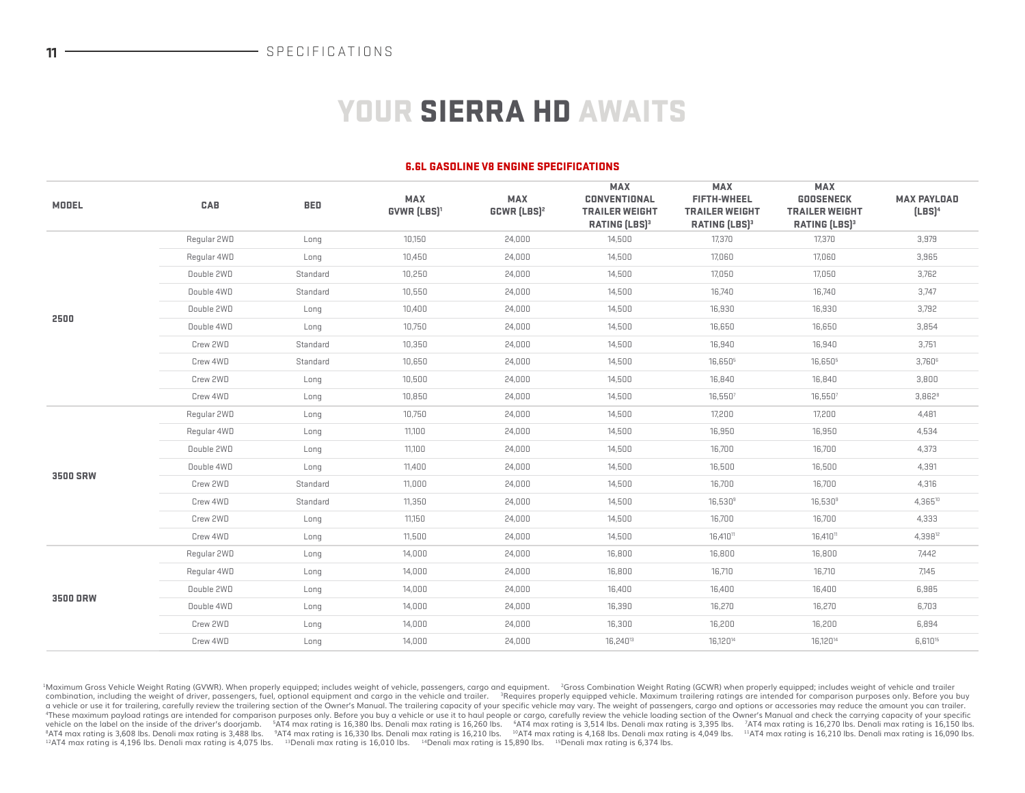# YOUR SIERRA HD AWAITS

#### 6.6L GASOLINE V8 ENGINE SPECIFICATIONS

| <b>MODEL</b>    | CAB         | <b>BED</b> | <b>MAX</b><br><b>GVWR (LBS)<sup>1</sup></b> | <b>MAX</b><br><b>GCWR (LBS)<sup>2</sup></b> | <b>MAX</b><br><b>CONVENTIONAL</b><br><b>TRAILER WEIGHT</b><br><b>RATING (LBS)3</b> | <b>MAX</b><br><b>FIFTH-WHEEL</b><br><b>TRAILER WEIGHT</b><br><b>RATING [LBS]3</b> | <b>MAX</b><br><b>GOOSENECK</b><br><b>TRAILER WEIGHT</b><br><b>RATING (LBS)3</b> | <b>MAX PAYLOAD</b><br>$[LES]^4$ |
|-----------------|-------------|------------|---------------------------------------------|---------------------------------------------|------------------------------------------------------------------------------------|-----------------------------------------------------------------------------------|---------------------------------------------------------------------------------|---------------------------------|
|                 | Regular 2WD | Long       | 10,150                                      | 24,000                                      | 14,500                                                                             | 17,370                                                                            | 17,370                                                                          | 3,979                           |
|                 | Regular 4WD | Long       | 10,450                                      | 24,000                                      | 14,500                                                                             | 17,060                                                                            | 17,060                                                                          | 3,965                           |
|                 | Double 2WD  | Standard   | 10,250                                      | 24,000                                      | 14,500                                                                             | 17,050                                                                            | 17,050                                                                          | 3,762                           |
|                 | Double 4WD  | Standard   | 10,550                                      | 24,000                                      | 14,500                                                                             | 16,740                                                                            | 16,740                                                                          | 3,747                           |
| 2500            | Double 2WD  | Long       | 10,400                                      | 24,000                                      | 14,500                                                                             | 16,930                                                                            | 16,930                                                                          | 3,792                           |
|                 | Double 4WD  | Long       | 10,750                                      | 24,000                                      | 14,500                                                                             | 16,650                                                                            | 16,650                                                                          | 3,854                           |
|                 | Crew 2WD    | Standard   | 10,350                                      | 24,000                                      | 14,500                                                                             | 16,940                                                                            | 16,940                                                                          | 3,751                           |
|                 | Crew 4WD    | Standard   | 10,650                                      | 24,000                                      | 14,500                                                                             | 16,6505                                                                           | 16,6505                                                                         | $3,760$ <sup>6</sup>            |
|                 | Crew 2WD    | Long       | 10,500                                      | 24,000                                      | 14,500                                                                             | 16,840                                                                            | 16,840                                                                          | 3,800                           |
|                 | Crew 4WD    | Long       | 10,850                                      | 24,000                                      | 14,500                                                                             | 16,550 <sup>7</sup>                                                               | 16,550 <sup>7</sup>                                                             | 3,8628                          |
|                 | Regular 2WD | Long       | 10,750                                      | 24,000                                      | 14,500                                                                             | 17,200                                                                            | 17,200                                                                          | 4,481                           |
|                 | Regular 4WD | Long       | 11,100                                      | 24,000                                      | 14,500                                                                             | 16,950                                                                            | 16,950                                                                          | 4,534                           |
|                 | Double 2WD  | Long       | 11,100                                      | 24,000                                      | 14,500                                                                             | 16,700                                                                            | 16,700                                                                          | 4,373                           |
|                 | Double 4WD  | Long       | 11,400                                      | 24,000                                      | 14,500                                                                             | 16,500                                                                            | 16,500                                                                          | 4,391                           |
| <b>3500 SRW</b> | Crew 2WD    | Standard   | 11,000                                      | 24,000                                      | 14,500                                                                             | 16,700                                                                            | 16,700                                                                          | 4,316                           |
|                 | Crew 4WD    | Standard   | 11,350                                      | 24,000                                      | 14,500                                                                             | $16,530^9$                                                                        | $16,530^{\circ}$                                                                | 4,365 <sup>10</sup>             |
|                 | Crew 2WD    | Long       | 11,150                                      | 24,000                                      | 14,500                                                                             | 16,700                                                                            | 16,700                                                                          | 4,333                           |
|                 | Crew 4WD    | Long       | 11,500                                      | 24,000                                      | 14,500                                                                             | 16,410 <sup>11</sup>                                                              | 16,410 <sup>11</sup>                                                            | 4,398 <sup>12</sup>             |
|                 | Reqular 2WD | Long       | 14,000                                      | 24,000                                      | 16,800                                                                             | 16,800                                                                            | 16,800                                                                          | 7,442                           |
|                 | Regular 4WD | Long       | 14,000                                      | 24,000                                      | 16,800                                                                             | 16,710                                                                            | 16,710                                                                          | 7,145                           |
| <b>3500 DRW</b> | Double 2WD  | Long       | 14,000                                      | 24,000                                      | 16,400                                                                             | 16,400                                                                            | 16,400                                                                          | 6,985                           |
|                 | Double 4WD  | Long       | 14,000                                      | 24,000                                      | 16,390                                                                             | 16,270                                                                            | 16,270                                                                          | 6,703                           |
|                 | Crew 2WD    | Long       | 14,000                                      | 24,000                                      | 16,300                                                                             | 16,200                                                                            | 16,200                                                                          | 6,894                           |
|                 | Crew 4WD    | Long       | 14,000                                      | 24,000                                      | 16,24013                                                                           | 16,120 <sup>14</sup>                                                              | 16,120 <sup>14</sup>                                                            | 6,61015                         |
|                 |             |            |                                             |                                             |                                                                                    |                                                                                   |                                                                                 |                                 |

<sup>1</sup>Maximum Gross Vehicle Weight Rating (GVWR). When properly equipped; includes weight of vehicle, passengers, cargo and equipment. <sup>2</sup>Gross Combination Weight Rating (GCWR) when properly equipped; includes weight of vehic combination, including the weight of driver, passengers, fuel, optional equipment and cargo in the vehicle and trailer. "Requires properly equipped vehicle. Maximum trailering ratings are intended for comparison purposes o a vehicle or use it for trailering, carefully review the trailering section of the Owner's Manual. The trailering capacity of your specific vehicle may vary. The weight of passengers, cargo and options or accessories may r vehicle on the label on the inside of the driver's doorjamb. <sup>5</sup>AT4 max rating is 16,380 lbs. Denali max rating is 16,260 lbs. <sup>4</sup>AT4 max rating is 16,260 lbs. <sup>4</sup>AT4 max rating is 3,514 lbs. Denali max rating is 3,395 lbs